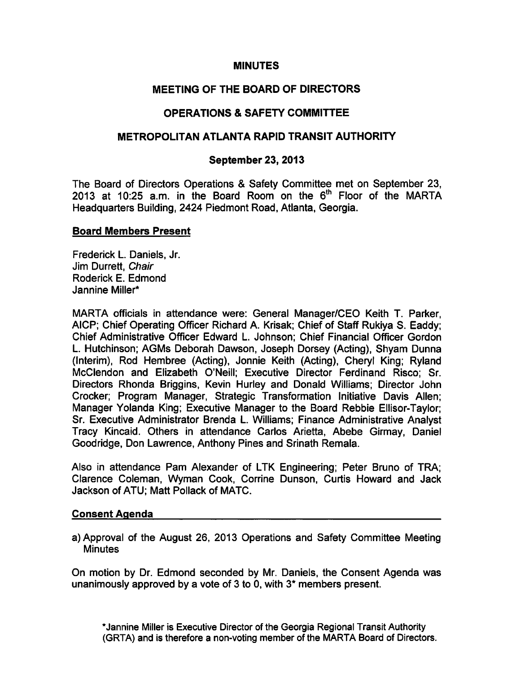#### MINUTES

# MEETING OF THE BOARD OF DIRECTORS

# OPERATIONS & SAFETY COMMITTEE

## METROPOLITAN ATLANTA RAPID TRANSIT AUTHORITY

## September 23, 2013

The Board of Directors Operations & Safety Committee met on September 23, 2013 at 10:25 a.m. in the Board Room on the 6<sup>th</sup> Floor of the MARTA Headquarters Building, 2424 Piedmont Road, Atlanta, Georgia.

### Board Members Present

Frederick L. Daniels, Jr. Jim Durrett, Chair Roderick E. Edmond Jannine Miller\*

MARTA officials in attendance were: General Manager/CEO Keith T. Parker, AICP; Chief Operating Officer Richard A. Krisak; Chief of Staff Rukiya S. Eaddy; Chief Administrative Officer Edward L. Johnson; Chief Financial Officer Gordon L. Hutchinson; AGMs Deborah Dawson, Joseph Dorsey (Acting), Shyam Dunna (Interim), Rod Hembree (Acting), Jonnie Keith (Acting), Cheryl King; Ryland McClendon and Elizabeth O'Neill; Executive Director Ferdinand Risco; Sr. Directors Rhonda Briggins, Kevin Hurley and Donald Williams; Director John Crocker; Program Manager, Strategic Transformation Initiative Davis Allen; Manager Yolanda King; Executive Manager to the Board Rebbie Ellisor-Taylor; Sr. Executive Administrator Brenda L. Williams; Finance Administrative Analyst Tracy Kincaid. Others in attendance Carlos Arietta, Abebe Girmay, Daniel Goodridge, Don Lawrence, Anthony Pines and Srinath Remala.

Also in attendance Pam Alexander of LTK Engineering; Peter Bruno of TRA; Clarence Coleman, Wyman Cook, Corrine Dunson, Curtis Howard and Jack Jackson of ATU; Matt Pollack of MATC.

### Consent Agenda

a) Approval of the August 26, 2013 Operations and Safety Committee Meeting **Minutes** 

On motion by Dr. Edmond seconded by Mr. Daniels, the Consent Agenda was unanimously approved by a vote of 3 to 0, with  $3*$  members present.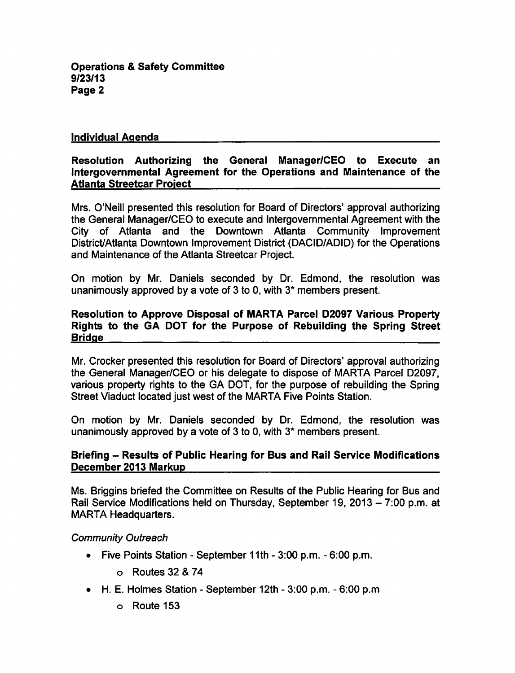**Operations & Safety Committee** 9/23/13 Page 2

#### Individual Agenda

#### Resolution Authorizing the General Manager/CEO to Execute an Intergovernmental Agreement for the Operations and Maintenance of the Atlanta Streetcar Project

Mrs. O'Neill presented this resolution for Board of Directors' approval authorizing the General Manager/CEO to execute and Intergovernmental Agreement with the City of Atlanta and the Downtown Atlanta Community Improvement District/Atlanta Downtown Improvement District (DACID/ADID) for the Operations and Maintenance of the Atlanta Streetcar Project.

On motion by Mr. Daniels seconded by Dr. Edmond, the resolution was unanimously approved by a vote of  $3$  to 0, with  $3*$  members present.

## Resolution to Approve Disposal of MARTA Parcel D2097 Various Property Rights to the GA DOT for the Purpose of Rebuilding the Spring Street **Bridge**

Mr. Crocker presented this resolution for Board of Directors' approval authorizing the General Manager/CEO or his delegate to dispose of MARTA Parcel D2097, various property rights to the GA DOT, for the purpose of rebuilding the Spring Street Viaduct located just west of the MARTA Five Points Station.

On motion by Mr. Daniels seconded by Dr. Edmond, the resolution was unanimously approved by a vote of  $3$  to 0, with  $3*$  members present.

### Briefing – Results of Public Hearing for Bus and Rail Service Modifications December 2013 Markup

Ms. Briggins briefed the Committee on Results of the Public Hearing for Bus and Rail Service Modifications held on Thursday, September 19, 2013 - 7:00 p.m. at MARTA Headquarters.

#### Community Outreach

- Five Points Station September 11th  $3:00$  p.m.  $-6:00$  p.m.
	- $\circ$  Routes 32 & 74
- $\bullet$  H. E. Holmes Station September 12th 3:00 p.m. 6:00 p.m.
	- Route 153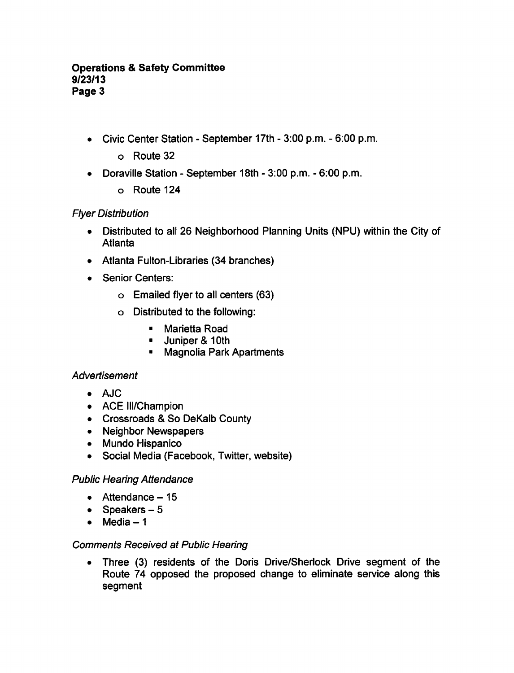### **Operations & Safety Committee** 9/23/13 Page 3

- Civic Center Station September 17th 3:00 p.m. 6:00 p.m.
	- Route 32
- Doraville Station September 18th 3:00 p.m. 6:00 p.m.  $\bullet$ 
	- Route 124

## Flyer Distribution

- Distributed to all 26 Neighborhood Planning Units (NPU) within the City of  $\bullet$ Atlanta
- Atlanta Fulton-Libraries (34 branches)
- Senior Centers:
	- Emailed flyer to all centers (63)
	- Distributed to the following:
		- $\mathbf{H}^{\text{max}}$ Marietta Road
		- $-$  Juniper & 10th
		- Magnolia Park Apartments

## Advertisement

- AJC
- ACE III/Champion
- Crossroads & So DeKalb County
- Neighbor Newspapers
- Mundo Hispanico
- Social Media (Facebook, Twitter, website)

## Public Hearing Attendance

- $\bullet$  Attendance 15
- Speakers  $-5$
- $•$  Media  $-1$

## Comments Received at Public Hearing

Three (3) residents of the Doris Drive/Sherlock Drive segment of the  $\bullet$ Route 74 opposed the proposed change to eliminate service along this segment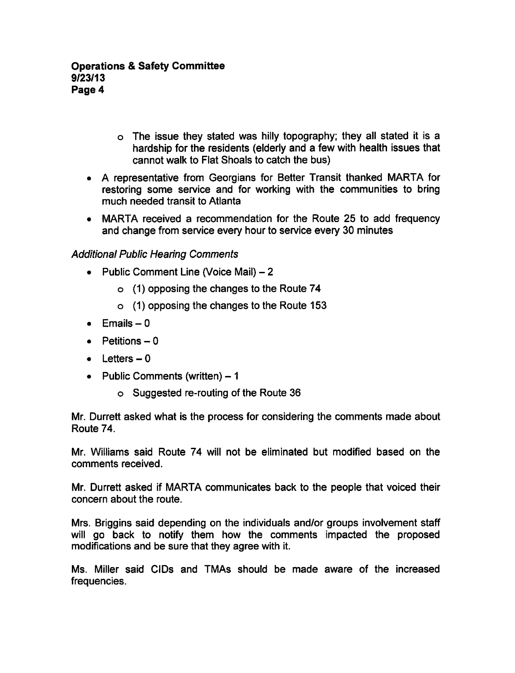- The issue they stated was hilly topography; they all stated it is hardship for the residents (elderly and a few with health issues that cannot walk to Flat Shoals to catch the bus)
- A representative from Georgians for Better Transit thanked MARTA for restoring some service and for working with the communities to bring much needed transit to Atlanta
- MARTA received a recommendation for the Route 25 to add frequency and change from service every hour to service every 30 minutes

# Additional Public Hearing Comments

- Public Comment Line (Voice Mail)  $-2$ 
	- (1) opposing the changes to the Route 74
	- (1) opposing the changes to the Route 153
- $\bullet$  Emails  $-0$
- $\bullet$  Petitions  $-0$
- $\bullet$  Letters  $-0$
- Public Comments (written)  $-1$ 
	- Suggested re-routing of the Route 36

Mr. Durrett asked what is the process for considering the comments made about Route 74.

Mr. Williams said Route 74 will not be eliminated but modified based on the comments received.

Mr. Durrett asked if MARTA communicates back to the people that voiced their concern about the route.

Mrs. Briggins said depending on the individuals and/or groups involvement staff will go back to notify them how the comments impacted the proposed modifications and be sure that they agree with it.

Ms. Miller said CIDs and TMAs should be made aware of the increased frequencies.